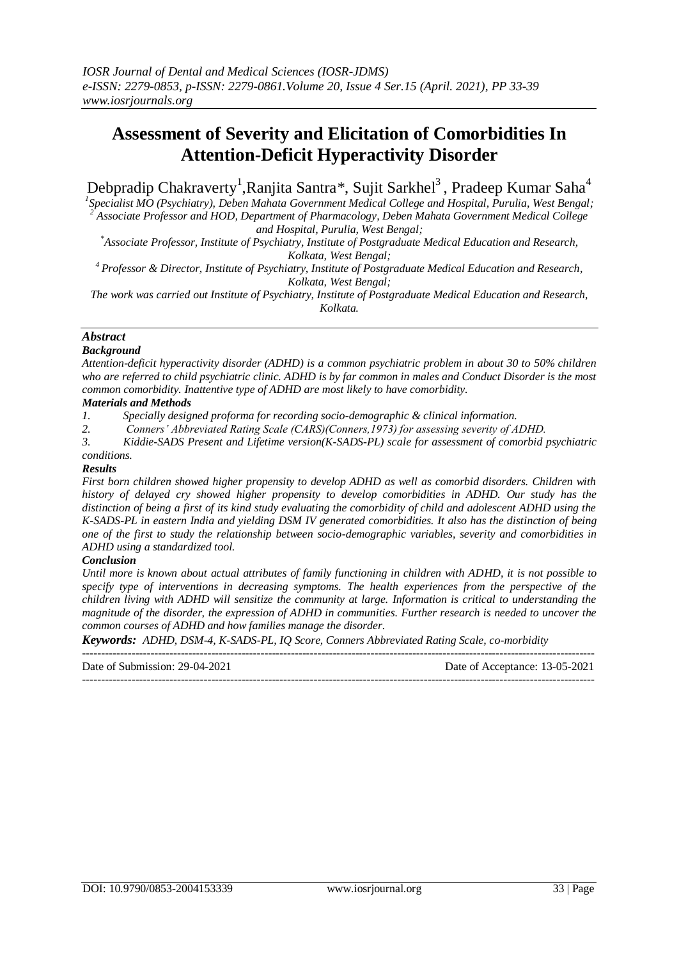# **Assessment of Severity and Elicitation of Comorbidities In Attention-Deficit Hyperactivity Disorder**

Debpradip Chakraverty<sup>1</sup>,Ranjita Santra\*, Sujit Sarkhel<sup>3</sup>, Pradeep Kumar Saha<sup>4</sup>

*1 Specialist MO (Psychiatry), Deben Mahata Government Medical College and Hospital, Purulia, West Bengal; <sup>2</sup> Associate Professor and HOD, Department of Pharmacology, Deben Mahata Government Medical College* 

*and Hospital, Purulia, West Bengal;*

*\*Associate Professor, Institute of Psychiatry, Institute of Postgraduate Medical Education and Research, Kolkata, West Bengal;*

*<sup>4</sup>Professor & Director, Institute of Psychiatry, Institute of Postgraduate Medical Education and Research, Kolkata, West Bengal;*

*The work was carried out Institute of Psychiatry, Institute of Postgraduate Medical Education and Research, Kolkata.*

# *Abstract*

# *Background*

*Attention-deficit hyperactivity disorder (ADHD) is a common psychiatric problem in about 30 to 50% children who are referred to child psychiatric clinic. ADHD is by far common in males and Conduct Disorder is the most common comorbidity. Inattentive type of ADHD are most likely to have comorbidity.* 

# *Materials and Methods*

*1. Specially designed proforma for recording socio-demographic & clinical information.*

*2. Conners' Abbreviated Rating Scale (CARS)(Conners,1973) for assessing severity of ADHD.*

*3. Kiddie-SADS Present and Lifetime version(K-SADS-PL) scale for assessment of comorbid psychiatric conditions.* 

# *Results*

*First born children showed higher propensity to develop ADHD as well as comorbid disorders. Children with history of delayed cry showed higher propensity to develop comorbidities in ADHD. Our study has the distinction of being a first of its kind study evaluating the comorbidity of child and adolescent ADHD using the K-SADS-PL in eastern India and yielding DSM IV generated comorbidities. It also has the distinction of being one of the first to study the relationship between socio-demographic variables, severity and comorbidities in ADHD using a standardized tool.* 

# *Conclusion*

*Until more is known about actual attributes of family functioning in children with ADHD, it is not possible to specify type of interventions in decreasing symptoms. The health experiences from the perspective of the children living with ADHD will sensitize the community at large. Information is critical to understanding the magnitude of the disorder, the expression of ADHD in communities. Further research is needed to uncover the common courses of ADHD and how families manage the disorder.* 

*Keywords: ADHD, DSM-4, K-SADS-PL, IQ Score, Conners Abbreviated Rating Scale, co-morbidity*

| Date of Submission: 29-04-2021 | Date of Acceptance: 13-05-2021 |
|--------------------------------|--------------------------------|
|                                |                                |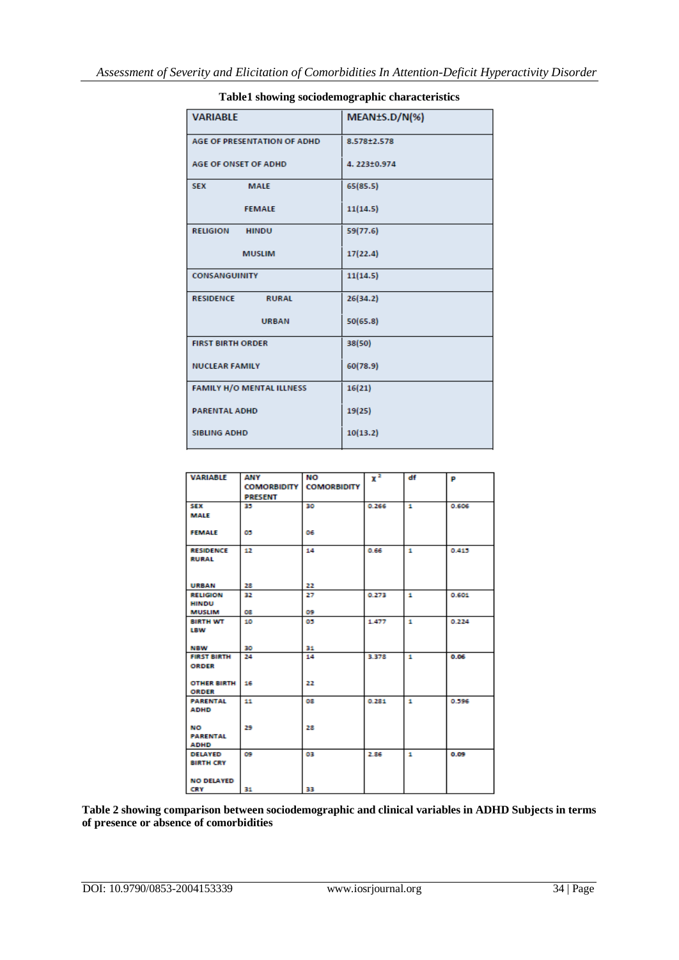| <b>VARIABLE</b>                  | MEAN±S.D/N(%) |
|----------------------------------|---------------|
| AGE OF PRESENTATION OF ADHD      | 8.578±2.578   |
| AGE OF ONSET OF ADHD             | 4.223±0.974   |
| <b>SEX</b><br><b>MALE</b>        | 65(85.5)      |
| <b>FEMALE</b>                    | 11(14.5)      |
| <b>RELIGION</b><br><b>HINDU</b>  | 59(77.6)      |
| <b>MUSLIM</b>                    | 17(22.4)      |
| <b>CONSANGUINITY</b>             | 11(14.5)      |
| <b>RESIDENCE</b><br><b>RURAL</b> | 26(34.2)      |
| <b>URBAN</b>                     | 50(65.8)      |
| <b>FIRST BIRTH ORDER</b>         | 38(50)        |
| <b>NUCLEAR FAMILY</b>            | 60(78.9)      |
| <b>FAMILY H/O MENTAL ILLNESS</b> | 16(21)        |
| <b>PARENTAL ADHD</b>             | 19(25)        |
| <b>SIBLING ADHD</b>              | 10(13.2)      |

| <b><i>VARIABLE</i></b> | ANY<br><b>COMORBIDITY</b> | NO<br><b>COMORBIDITY</b> | $\mathbf{x}^2$ | df           | p     |
|------------------------|---------------------------|--------------------------|----------------|--------------|-------|
|                        | <b>PRESENT</b>            |                          |                |              |       |
| <b>SEX</b>             | 35                        | 30                       | 0.266          | Ŧ            | 0.606 |
| <b>MALE</b>            |                           |                          |                |              |       |
|                        |                           |                          |                |              |       |
| <b>FEMALE</b>          | 05                        | 06                       |                |              |       |
|                        |                           |                          |                |              |       |
| <b>RESIDENCE</b>       | 12                        | 14                       | 0.66           | £.           | 0.415 |
| <b>RURAL</b>           |                           |                          |                |              |       |
|                        |                           |                          |                |              |       |
| <b>URBAN</b>           | 28                        | 22                       |                |              |       |
| <b>RELIGION</b>        | 32                        | 27                       | 0.273          | £.           | 0.601 |
| <b>HINDU</b>           |                           |                          |                |              |       |
| <b>MUSLIM</b>          | œ                         | 09                       |                |              |       |
| <b>BIRTH WT</b>        | 10                        | 05                       | 1.477          | $\mathbf{1}$ | 0.224 |
| LBW                    |                           |                          |                |              |       |
|                        |                           |                          |                |              |       |
| NBW                    | 30                        | 31                       |                |              |       |
| <b>FIRST BIRTH</b>     | 24                        | 14                       | 3.378          | Ŧ            | 0.06  |
| ORDER                  |                           |                          |                |              |       |
| <b>OTHER BIRTH</b>     | 16                        | 22                       |                |              |       |
| <b>ORDER</b>           |                           |                          |                |              |       |
| <b>PARENTAL</b>        | 11                        | O8                       | 0.281          | 1            | 0.596 |
| <b>ADHD</b>            |                           |                          |                |              |       |
|                        |                           |                          |                |              |       |
| NO                     | 29                        | 28                       |                |              |       |
| <b><i>PARENTAL</i></b> |                           |                          |                |              |       |
| <b>ADHD</b>            |                           |                          |                |              |       |
| <b>DELAYED</b>         | O <sub>9</sub>            | 03                       | 2.86           | 1            | 0.09  |
| <b>BIRTH CRY</b>       |                           |                          |                |              |       |
| <b>NO DELAYED</b>      |                           |                          |                |              |       |
| <b>CRV</b>             | 34.                       | 국국                       |                |              |       |

**Table 2 showing comparison between sociodemographic and clinical variables in ADHD Subjects in terms of presence or absence of comorbidities**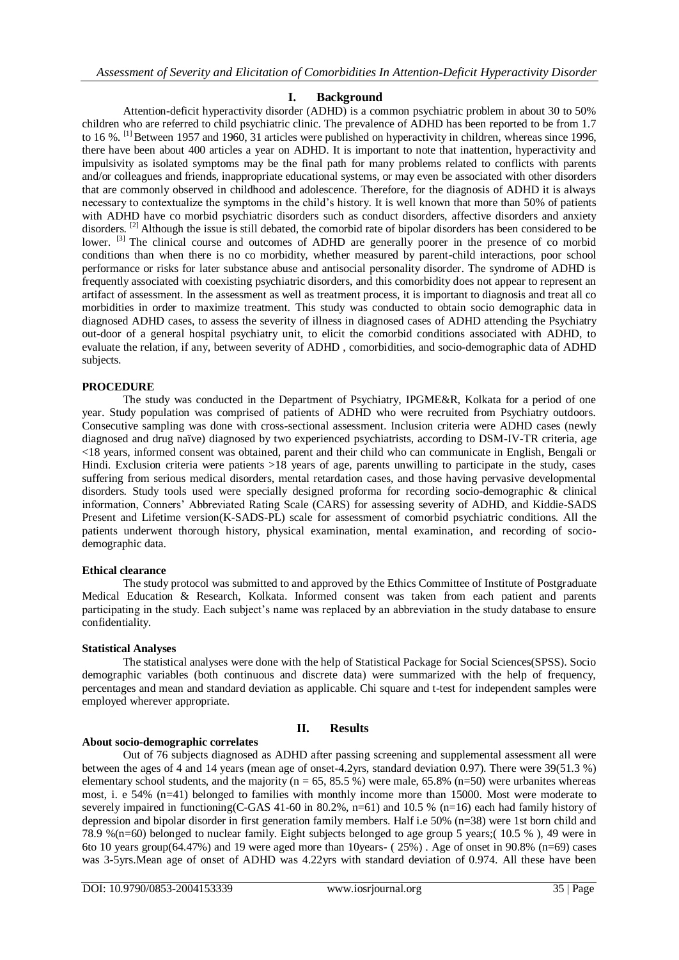# **I. Background**

Attention-deficit hyperactivity disorder (ADHD) is a common psychiatric problem in about 30 to 50% children who are referred to child psychiatric clinic. The prevalence of ADHD has been reported to be from 1.7 to 16 %. [1] Between 1957 and 1960, 31 articles were published on hyperactivity in children, whereas since 1996, there have been about 400 articles a year on ADHD. It is important to note that inattention, hyperactivity and impulsivity as isolated symptoms may be the final path for many problems related to conflicts with parents and/or colleagues and friends, inappropriate educational systems, or may even be associated with other disorders that are commonly observed in childhood and adolescence. Therefore, for the diagnosis of ADHD it is always necessary to contextualize the symptoms in the child's history. It is well known that more than 50% of patients with ADHD have co morbid psychiatric disorders such as conduct disorders, affective disorders and anxiety disorders. <sup>[2]</sup> Although the issue is still debated, the comorbid rate of bipolar disorders has been considered to be lower. <sup>[3]</sup> The clinical course and outcomes of ADHD are generally poorer in the presence of co morbid conditions than when there is no co morbidity, whether measured by parent-child interactions, poor school performance or risks for later substance abuse and antisocial personality disorder. The syndrome of ADHD is frequently associated with coexisting psychiatric disorders, and this comorbidity does not appear to represent an artifact of assessment. In the assessment as well as treatment process, it is important to diagnosis and treat all co morbidities in order to maximize treatment. This study was conducted to obtain socio demographic data in diagnosed ADHD cases, to assess the severity of illness in diagnosed cases of ADHD attending the Psychiatry out-door of a general hospital psychiatry unit, to elicit the comorbid conditions associated with ADHD, to evaluate the relation, if any, between severity of ADHD , comorbidities, and socio-demographic data of ADHD subjects.

## **PROCEDURE**

The study was conducted in the Department of Psychiatry, IPGME&R, Kolkata for a period of one year. Study population was comprised of patients of ADHD who were recruited from Psychiatry outdoors. Consecutive sampling was done with cross-sectional assessment. Inclusion criteria were ADHD cases (newly diagnosed and drug naïve) diagnosed by two experienced psychiatrists, according to DSM-IV-TR criteria, age <18 years, informed consent was obtained, parent and their child who can communicate in English, Bengali or Hindi. Exclusion criteria were patients >18 years of age, parents unwilling to participate in the study, cases suffering from serious medical disorders, mental retardation cases, and those having pervasive developmental disorders. Study tools used were specially designed proforma for recording socio-demographic & clinical information, Conners' Abbreviated Rating Scale (CARS) for assessing severity of ADHD, and Kiddie-SADS Present and Lifetime version(K-SADS-PL) scale for assessment of comorbid psychiatric conditions. All the patients underwent thorough history, physical examination, mental examination, and recording of sociodemographic data.

# **Ethical clearance**

The study protocol was submitted to and approved by the Ethics Committee of Institute of Postgraduate Medical Education & Research, Kolkata. Informed consent was taken from each patient and parents participating in the study. Each subject's name was replaced by an abbreviation in the study database to ensure confidentiality.

#### **Statistical Analyses**

The statistical analyses were done with the help of Statistical Package for Social Sciences(SPSS). Socio demographic variables (both continuous and discrete data) were summarized with the help of frequency, percentages and mean and standard deviation as applicable. Chi square and t-test for independent samples were employed wherever appropriate.

# **About socio-demographic correlates**

# **II. Results**

Out of 76 subjects diagnosed as ADHD after passing screening and supplemental assessment all were between the ages of 4 and 14 years (mean age of onset-4.2yrs, standard deviation 0.97). There were 39(51.3 %) elementary school students, and the majority ( $n = 65, 85.5 %$ ) were male, 65.8% ( $n = 50$ ) were urbanites whereas most, i. e 54% (n=41) belonged to families with monthly income more than 15000. Most were moderate to severely impaired in functioning(C-GAS 41-60 in 80.2%, n=61) and 10.5 % (n=16) each had family history of depression and bipolar disorder in first generation family members. Half i.e 50% (n=38) were 1st born child and 78.9 %(n=60) belonged to nuclear family. Eight subjects belonged to age group 5 years;( 10.5 % ), 49 were in 6to 10 years group(64.47%) and 19 were aged more than 10years- ( 25%) . Age of onset in 90.8% (n=69) cases was 3-5yrs.Mean age of onset of ADHD was 4.22yrs with standard deviation of 0.974. All these have been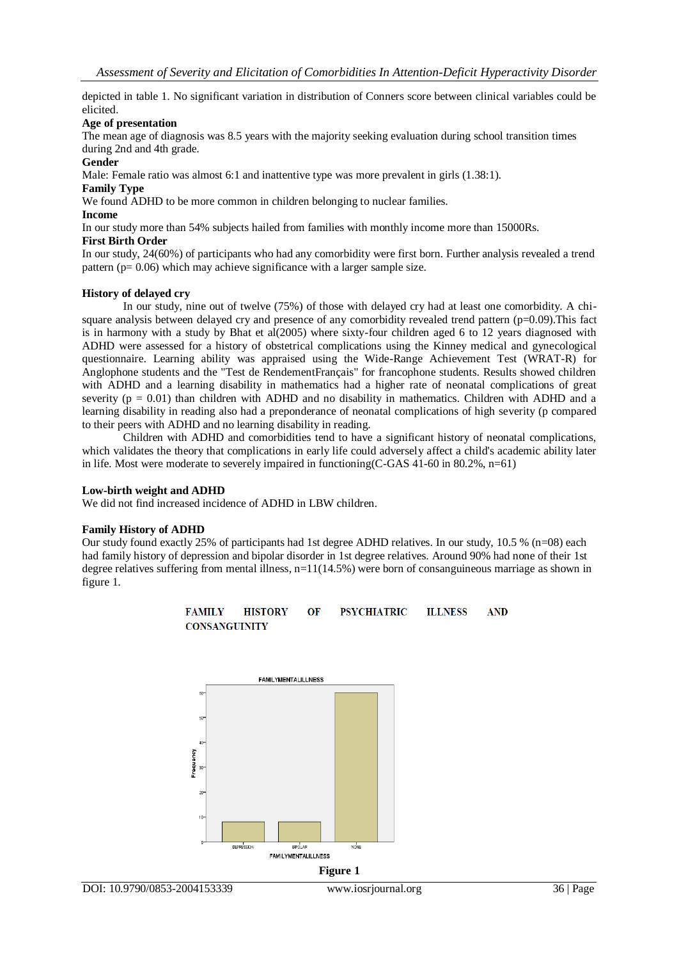depicted in table 1. No significant variation in distribution of Conners score between clinical variables could be elicited.

#### **Age of presentation**

The mean age of diagnosis was 8.5 years with the majority seeking evaluation during school transition times during 2nd and 4th grade.

#### **Gender**

Male: Female ratio was almost 6:1 and inattentive type was more prevalent in girls (1.38:1).

#### **Family Type**

We found ADHD to be more common in children belonging to nuclear families.

#### **Income**

In our study more than 54% subjects hailed from families with monthly income more than 15000Rs. **First Birth Order**

In our study, 24(60%) of participants who had any comorbidity were first born. Further analysis revealed a trend pattern ( $p= 0.06$ ) which may achieve significance with a larger sample size.

#### **History of delayed cry**

In our study, nine out of twelve (75%) of those with delayed cry had at least one comorbidity. A chisquare analysis between delayed cry and presence of any comorbidity revealed trend pattern  $(p=0.09)$ . This fact is in harmony with a study by Bhat et al(2005) where sixty-four children aged 6 to 12 years diagnosed with ADHD were assessed for a history of obstetrical complications using the Kinney medical and gynecological questionnaire. Learning ability was appraised using the Wide-Range Achievement Test (WRAT-R) for Anglophone students and the "Test de RendementFrançais" for francophone students. Results showed children with ADHD and a learning disability in mathematics had a higher rate of neonatal complications of great severity ( $p = 0.01$ ) than children with ADHD and no disability in mathematics. Children with ADHD and a learning disability in reading also had a preponderance of neonatal complications of high severity (p compared to their peers with ADHD and no learning disability in reading.

Children with ADHD and comorbidities tend to have a significant history of neonatal complications, which validates the theory that complications in early life could adversely affect a child's academic ability later in life. Most were moderate to severely impaired in functioning  $(C$ -GAS 41-60 in 80.2%, n=61)

#### **Low-birth weight and ADHD**

We did not find increased incidence of ADHD in LBW children.

#### **Family History of ADHD**

Our study found exactly 25% of participants had 1st degree ADHD relatives. In our study, 10.5 % (n=08) each had family history of depression and bipolar disorder in 1st degree relatives. Around 90% had none of their 1st degree relatives suffering from mental illness,  $n=11(14.5%)$  were born of consanguineous marriage as shown in figure 1.



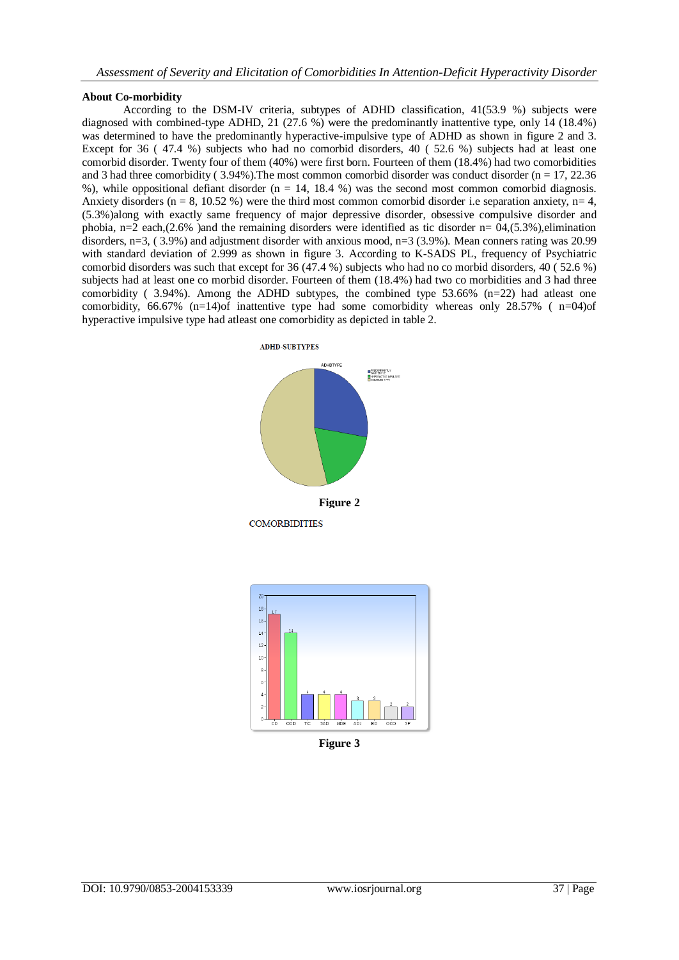## **About Co-morbidity**

According to the DSM-IV criteria, subtypes of ADHD classification, 41(53.9 %) subjects were diagnosed with combined-type ADHD, 21 (27.6 %) were the predominantly inattentive type, only 14 (18.4%) was determined to have the predominantly hyperactive-impulsive type of ADHD as shown in figure 2 and 3. Except for 36 (47.4 %) subjects who had no comorbid disorders, 40 (52.6 %) subjects had at least one comorbid disorder. Twenty four of them (40%) were first born. Fourteen of them (18.4%) had two comorbidities and 3 had three comorbidity (3.94%). The most common comorbid disorder was conduct disorder ( $n = 17, 22.36$ ) %), while oppositional defiant disorder ( $n = 14$ , 18.4 %) was the second most common comorbid diagnosis. Anxiety disorders ( $n = 8, 10.52\%$ ) were the third most common comorbid disorder i.e separation anxiety,  $n=4$ , (5.3%)along with exactly same frequency of major depressive disorder, obsessive compulsive disorder and phobia, n=2 each,(2.6%) and the remaining disorders were identified as tic disorder n=  $04(5.3\%)$ ,elimination disorders,  $n=3$ , (3.9%) and adjustment disorder with anxious mood,  $n=3$  (3.9%). Mean conners rating was 20.99 with standard deviation of 2.999 as shown in figure 3. According to K-SADS PL, frequency of Psychiatric comorbid disorders was such that except for 36 (47.4 %) subjects who had no co morbid disorders, 40 ( 52.6 %) subjects had at least one co morbid disorder. Fourteen of them (18.4%) had two co morbidities and 3 had three comorbidity ( 3.94%). Among the ADHD subtypes, the combined type 53.66% (n=22) had atleast one comorbidity,  $66.67\%$  (n=14)of inattentive type had some comorbidity whereas only 28.57% ( n=04)of hyperactive impulsive type had atleast one comorbidity as depicted in table 2.





**Figure 3**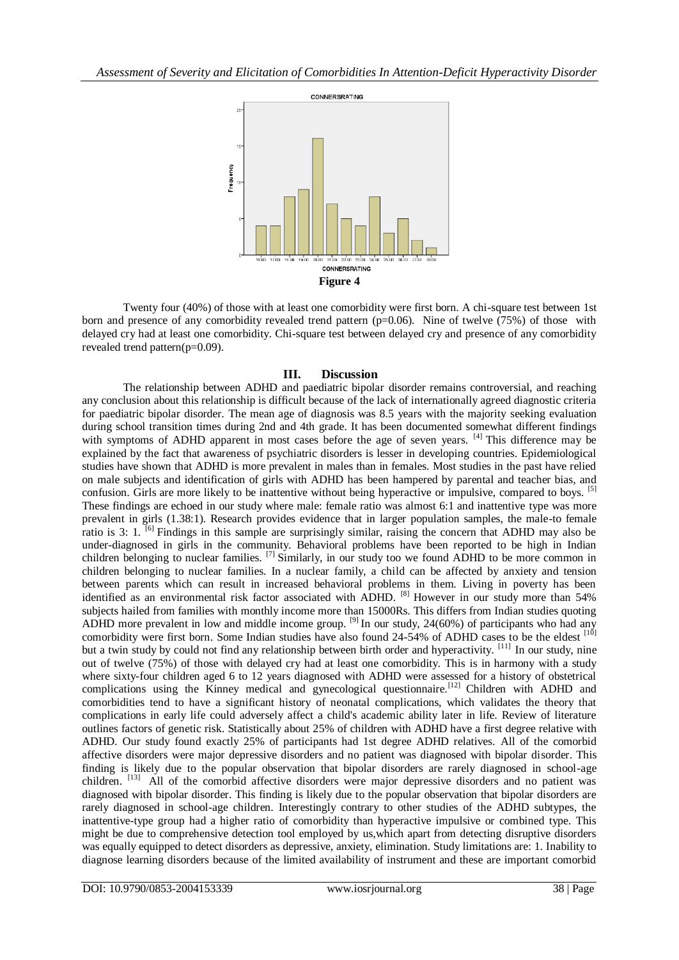

Twenty four (40%) of those with at least one comorbidity were first born. A chi-square test between 1st born and presence of any comorbidity revealed trend pattern  $(p=0.06)$ . Nine of twelve (75%) of those with delayed cry had at least one comorbidity. Chi-square test between delayed cry and presence of any comorbidity revealed trend pattern(p=0.09).

# **III. Discussion**

The relationship between ADHD and paediatric bipolar disorder remains controversial, and reaching any conclusion about this relationship is difficult because of the lack of internationally agreed diagnostic criteria for paediatric bipolar disorder. The mean age of diagnosis was 8.5 years with the majority seeking evaluation during school transition times during 2nd and 4th grade. It has been documented somewhat different findings with symptoms of ADHD apparent in most cases before the age of seven years. <sup>[4]</sup> This difference may be explained by the fact that awareness of psychiatric disorders is lesser in developing countries. Epidemiological studies have shown that ADHD is more prevalent in males than in females. Most studies in the past have relied on male subjects and identification of girls with ADHD has been hampered by parental and teacher bias, and confusion. Girls are more likely to be inattentive without being hyperactive or impulsive, compared to boys. [5] These findings are echoed in our study where male: female ratio was almost 6:1 and inattentive type was more prevalent in girls (1.38:1). Research provides evidence that in larger population samples, the male-to female ratio is 3: 1. [6] Findings in this sample are surprisingly similar, raising the concern that ADHD may also be under-diagnosed in girls in the community. Behavioral problems have been reported to be high in Indian children belonging to nuclear families. [7] Similarly, in our study too we found ADHD to be more common in children belonging to nuclear families. In a nuclear family, a child can be affected by anxiety and tension between parents which can result in increased behavioral problems in them. Living in poverty has been identified as an environmental risk factor associated with ADHD. <sup>[8]</sup> However in our study more than 54% subjects hailed from families with monthly income more than 15000Rs. This differs from Indian studies quoting ADHD more prevalent in low and middle income group. <sup>[9]</sup> In our study,  $24(60%)$  of participants who had any comorbidity were first born. Some Indian studies have also found 24-54% of ADHD cases to be the eldest [10] but a twin study by could not find any relationship between birth order and hyperactivity. <sup>[11]</sup> In our study, nine out of twelve (75%) of those with delayed cry had at least one comorbidity. This is in harmony with a study where sixty-four children aged 6 to 12 years diagnosed with ADHD were assessed for a history of obstetrical complications using the Kinney medical and gynecological questionnaire.<sup>[12]</sup> Children with ADHD and comorbidities tend to have a significant history of neonatal complications, which validates the theory that complications in early life could adversely affect a child's academic ability later in life. Review of literature outlines factors of genetic risk. Statistically about 25% of children with ADHD have a first degree relative with ADHD. Our study found exactly 25% of participants had 1st degree ADHD relatives. All of the comorbid affective disorders were major depressive disorders and no patient was diagnosed with bipolar disorder. This finding is likely due to the popular observation that bipolar disorders are rarely diagnosed in school-age children. <sup>[13]</sup> All of the comorbid affective disorders were major depressive disorders and no patient was diagnosed with bipolar disorder. This finding is likely due to the popular observation that bipolar disorders are rarely diagnosed in school-age children. Interestingly contrary to other studies of the ADHD subtypes, the inattentive-type group had a higher ratio of comorbidity than hyperactive impulsive or combined type. This might be due to comprehensive detection tool employed by us,which apart from detecting disruptive disorders was equally equipped to detect disorders as depressive, anxiety, elimination. Study limitations are: 1. Inability to diagnose learning disorders because of the limited availability of instrument and these are important comorbid